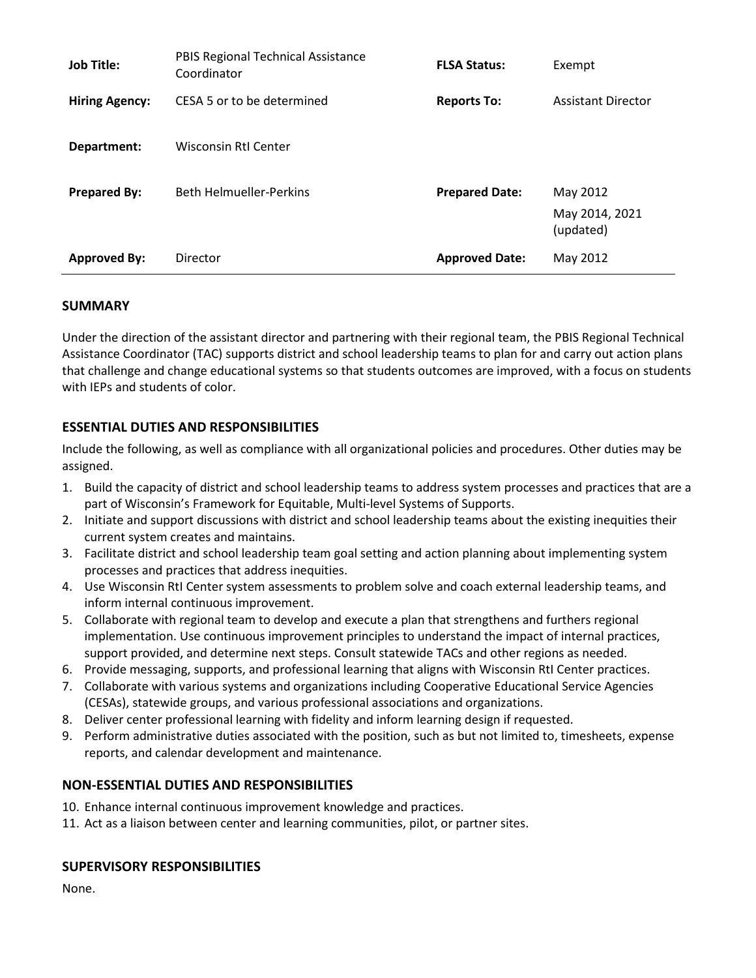| <b>Job Title:</b><br><b>Hiring Agency:</b> | PBIS Regional Technical Assistance<br>Coordinator<br>CESA 5 or to be determined | <b>FLSA Status:</b><br><b>Reports To:</b> | Exempt<br><b>Assistant Director</b> |
|--------------------------------------------|---------------------------------------------------------------------------------|-------------------------------------------|-------------------------------------|
| Department:                                | Wisconsin RtI Center                                                            |                                           |                                     |
| <b>Prepared By:</b>                        | <b>Beth Helmueller-Perkins</b>                                                  | <b>Prepared Date:</b>                     | May 2012                            |
|                                            |                                                                                 |                                           | May 2014, 2021<br>(updated)         |
| <b>Approved By:</b>                        | Director                                                                        | <b>Approved Date:</b>                     | May 2012                            |

### **SUMMARY**

Under the direction of the assistant director and partnering with their regional team, the PBIS Regional Technical Assistance Coordinator (TAC) supports district and school leadership teams to plan for and carry out action plans that challenge and change educational systems so that students outcomes are improved, with a focus on students with IEPs and students of color.

# **ESSENTIAL DUTIES AND RESPONSIBILITIES**

Include the following, as well as compliance with all organizational policies and procedures. Other duties may be assigned.

- 1. Build the capacity of district and school leadership teams to address system processes and practices that are a part of Wisconsin's Framework for Equitable, Multi-level Systems of Supports.
- 2. Initiate and support discussions with district and school leadership teams about the existing inequities their current system creates and maintains.
- 3. Facilitate district and school leadership team goal setting and action planning about implementing system processes and practices that address inequities.
- 4. Use Wisconsin RtI Center system assessments to problem solve and coach external leadership teams, and inform internal continuous improvement.
- 5. Collaborate with regional team to develop and execute a plan that strengthens and furthers regional implementation. Use continuous improvement principles to understand the impact of internal practices, support provided, and determine next steps. Consult statewide TACs and other regions as needed.
- 6. Provide messaging, supports, and professional learning that aligns with Wisconsin RtI Center practices.
- 7. Collaborate with various systems and organizations including Cooperative Educational Service Agencies (CESAs), statewide groups, and various professional associations and organizations.
- 8. Deliver center professional learning with fidelity and inform learning design if requested.
- 9. Perform administrative duties associated with the position, such as but not limited to, timesheets, expense reports, and calendar development and maintenance.

# **NON-ESSENTIAL DUTIES AND RESPONSIBILITIES**

- 10. Enhance internal continuous improvement knowledge and practices.
- 11. Act as a liaison between center and learning communities, pilot, or partner sites.

### **SUPERVISORY RESPONSIBILITIES**

None.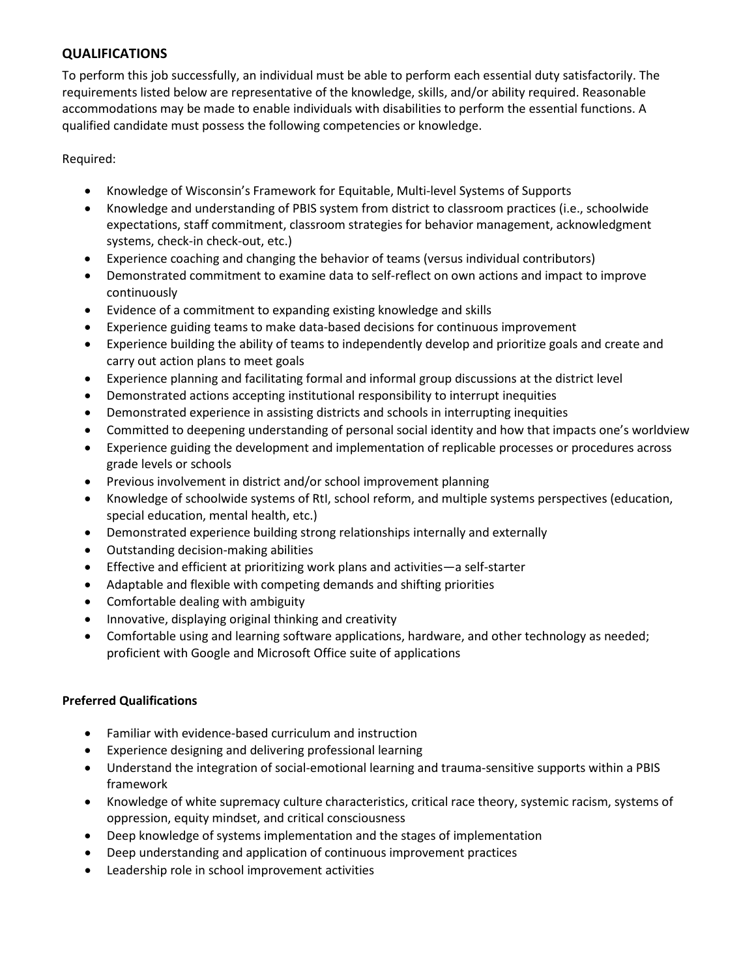# **QUALIFICATIONS**

To perform this job successfully, an individual must be able to perform each essential duty satisfactorily. The requirements listed below are representative of the knowledge, skills, and/or ability required. Reasonable accommodations may be made to enable individuals with disabilities to perform the essential functions. A qualified candidate must possess the following competencies or knowledge.

Required:

- Knowledge of Wisconsin's Framework for Equitable, Multi-level Systems of Supports
- Knowledge and understanding of PBIS system from district to classroom practices (i.e., schoolwide expectations, staff commitment, classroom strategies for behavior management, acknowledgment systems, check-in check-out, etc.)
- Experience coaching and changing the behavior of teams (versus individual contributors)
- Demonstrated commitment to examine data to self-reflect on own actions and impact to improve continuously
- Evidence of a commitment to expanding existing knowledge and skills
- Experience guiding teams to make data-based decisions for continuous improvement
- Experience building the ability of teams to independently develop and prioritize goals and create and carry out action plans to meet goals
- Experience planning and facilitating formal and informal group discussions at the district level
- Demonstrated actions accepting institutional responsibility to interrupt inequities
- Demonstrated experience in assisting districts and schools in interrupting inequities
- Committed to deepening understanding of personal social identity and how that impacts one's worldview
- Experience guiding the development and implementation of replicable processes or procedures across grade levels or schools
- Previous involvement in district and/or school improvement planning
- Knowledge of schoolwide systems of RtI, school reform, and multiple systems perspectives (education, special education, mental health, etc.)
- Demonstrated experience building strong relationships internally and externally
- Outstanding decision-making abilities
- Effective and efficient at prioritizing work plans and activities—a self-starter
- Adaptable and flexible with competing demands and shifting priorities
- Comfortable dealing with ambiguity
- Innovative, displaying original thinking and creativity
- Comfortable using and learning software applications, hardware, and other technology as needed; proficient with Google and Microsoft Office suite of applications

### **Preferred Qualifications**

- Familiar with evidence-based curriculum and instruction
- Experience designing and delivering professional learning
- Understand the integration of social-emotional learning and trauma-sensitive supports within a PBIS framework
- Knowledge of white supremacy culture characteristics, critical race theory, systemic racism, systems of oppression, equity mindset, and critical consciousness
- Deep knowledge of systems implementation and the stages of implementation
- Deep understanding and application of continuous improvement practices
- Leadership role in school improvement activities